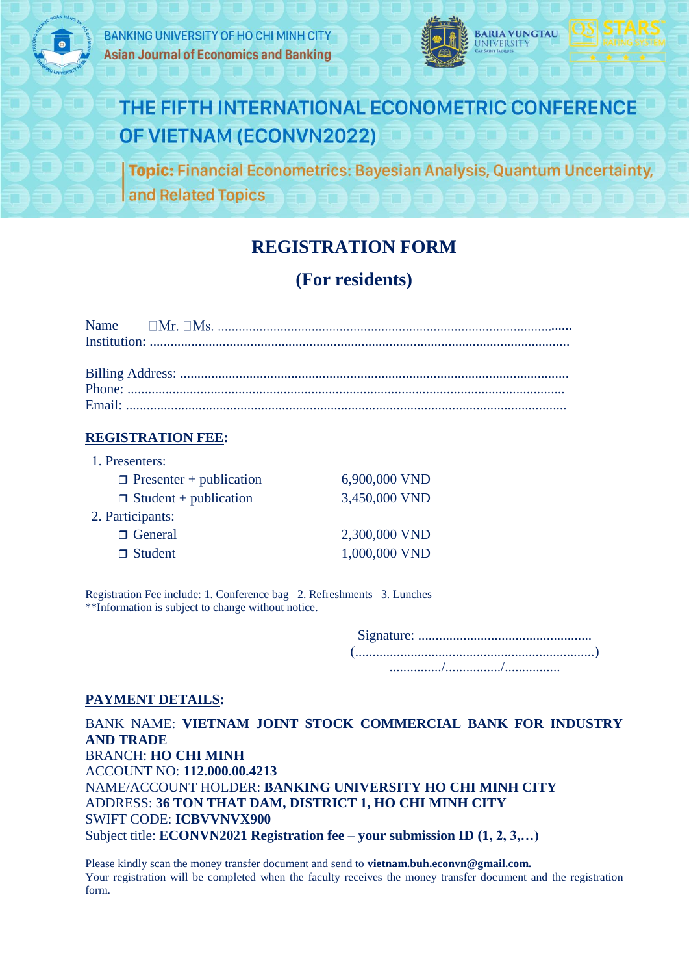

**BANKING UNIVERSITY OF HO CHI MINH CITY Asian Journal of Economics and Banking** 





## THE FIFTH INTERNATIONAL ECONOMETRIC CONFERENCE OF VIETNAM (ECONVN2022)

**Topic: Financial Econometrics: Bayesian Analysis, Quantum Uncertainty,** and Related Topics

## **REGISTRATION FORM**

## **(For residents)**

#### **REGISTRATION FEE:**

| 1. Presenters:                 |               |
|--------------------------------|---------------|
| $\Box$ Presenter + publication | 6,900,000 VND |
| $\Box$ Student + publication   | 3,450,000 VND |
| 2. Participants:               |               |
| □ General                      | 2,300,000 VND |
| $\Box$ Student                 | 1,000,000 VND |

Registration Fee include: 1. Conference bag 2. Refreshments 3. Lunches \*\*Information is subject to change without notice.

> Signature: .................................................. (.....................................................................) .............../................/................

#### **PAYMENT DETAILS:**

BANK NAME: **VIETNAM JOINT STOCK COMMERCIAL BANK FOR INDUSTRY AND TRADE** BRANCH: **HO CHI MINH** ACCOUNT NO: **112.000.00.4213** NAME/ACCOUNT HOLDER: **BANKING UNIVERSITY HO CHI MINH CITY** ADDRESS: **36 TON THAT DAM, DISTRICT 1, HO CHI MINH CITY** SWIFT CODE: **ICBVVNVX900**  Subject title: **ECONVN2021 Registration fee – your submission ID (1, 2, 3,…)**

Please kindly scan the money transfer document and send to **vietnam.buh.econvn@gmail.com.** Your registration will be completed when the faculty receives the money transfer document and the registration form.